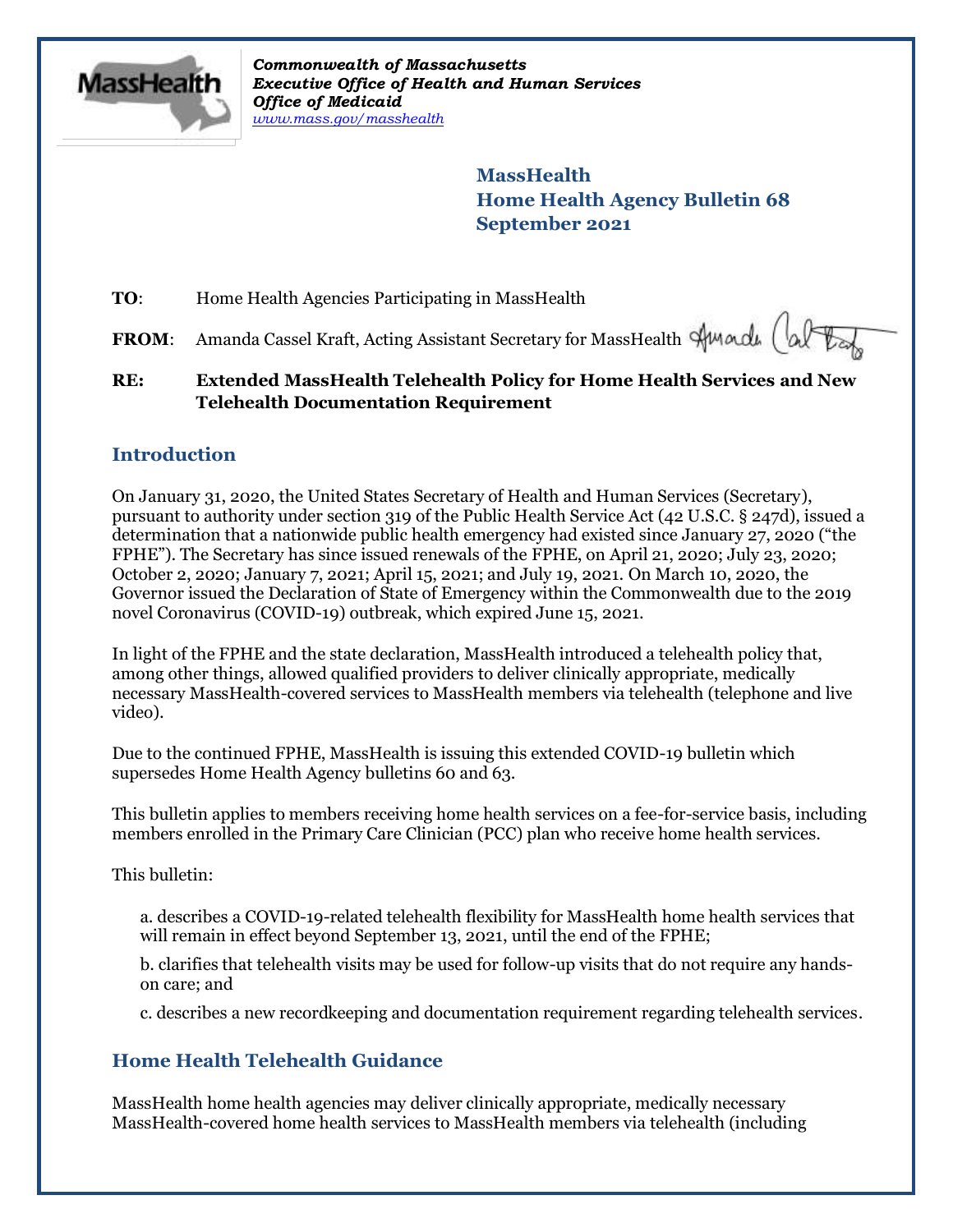

*Commonwealth of Massachusetts Executive Office of Health and Human Services Office of Medicaid [www.mass.gov/masshealth](http://www.mass.gov/masshealth)*

> **MassHealth Home Health Agency Bulletin 68 September 2021**

**TO:** Home Health Agencies Participating in MassHealth

FROM: Amanda Cassel Kraft, Acting Assistant Secretary for MassHealth Stunardu

## **RE: Extended MassHealth Telehealth Policy for Home Health Services and New Telehealth Documentation Requirement**

## **Introduction**

On January 31, 2020, the United States Secretary of Health and Human Services (Secretary), pursuant to authority under section 319 of the Public Health Service Act (42 U.S.C. § 247d), issued a determination that a nationwide public health emergency had existed since January 27, 2020 ("the FPHE"). The Secretary has since issued renewals of the FPHE, on April 21, 2020; July 23, 2020; October 2, 2020; January 7, 2021; April 15, 2021; and July 19, 2021. On March 10, 2020, the Governor issued the Declaration of State of Emergency within the Commonwealth due to the 2019 novel Coronavirus (COVID-19) outbreak, which expired June 15, 2021.

In light of the FPHE and the state declaration, MassHealth introduced a telehealth policy that, among other things, allowed qualified providers to deliver clinically appropriate, medically necessary MassHealth-covered services to MassHealth members via telehealth (telephone and live video).

Due to the continued FPHE, MassHealth is issuing this extended COVID-19 bulletin which supersedes Home Health Agency bulletins 60 and 63.

This bulletin applies to members receiving home health services on a fee-for-service basis, including members enrolled in the Primary Care Clinician (PCC) plan who receive home health services.

This bulletin:

a. describes a COVID-19-related telehealth flexibility for MassHealth home health services that will remain in effect beyond September 13, 2021, until the end of the FPHE;

b. clarifies that telehealth visits may be used for follow-up visits that do not require any handson care; and

c. describes a new recordkeeping and documentation requirement regarding telehealth services.

# **Home Health Telehealth Guidance**

MassHealth home health agencies may deliver clinically appropriate, medically necessary MassHealth-covered home health services to MassHealth members via telehealth (including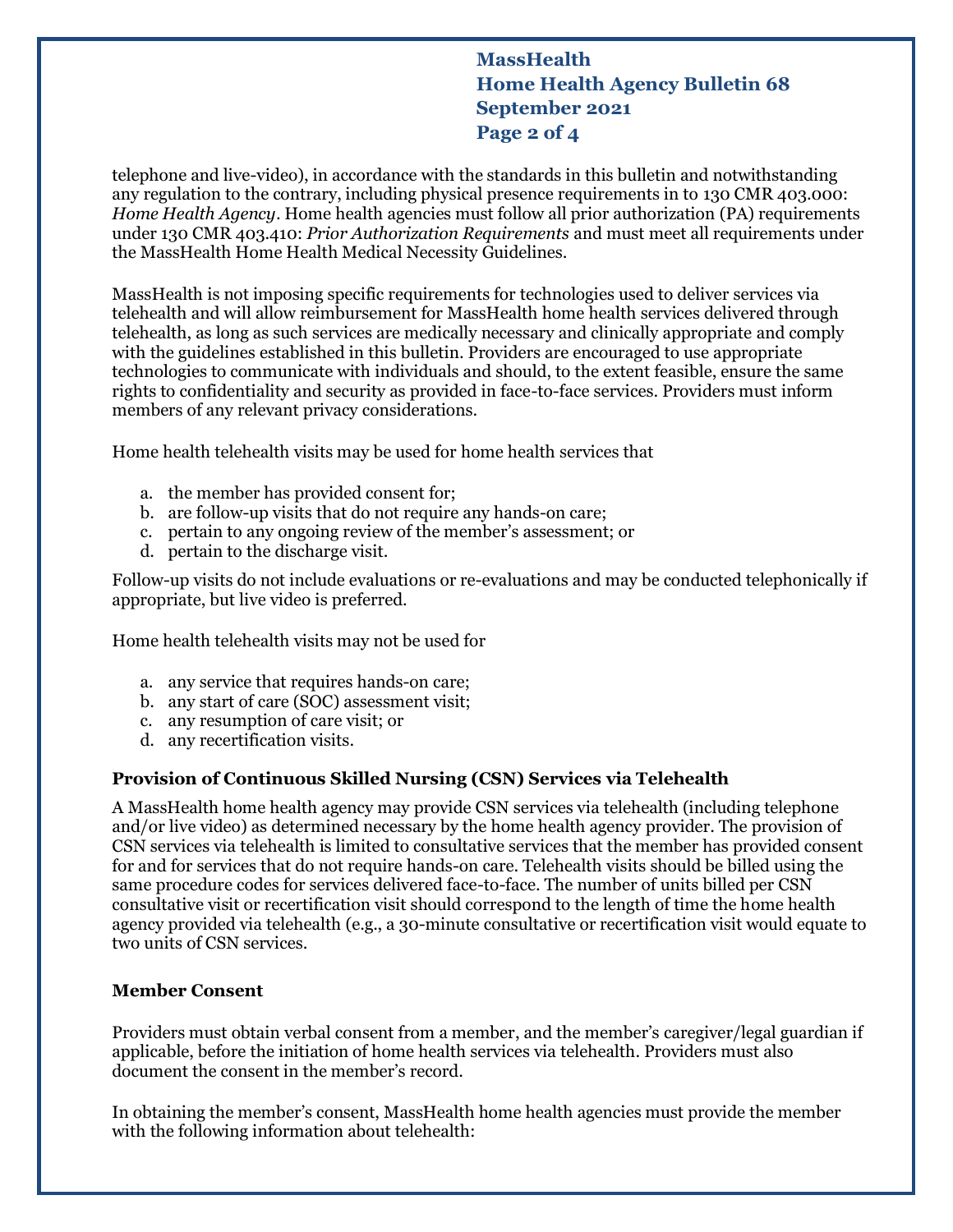## **MassHealth Home Health Agency Bulletin 68 September 2021 Page 2 of 4**

telephone and live-video), in accordance with the standards in this bulletin and notwithstanding any regulation to the contrary, including physical presence requirements in to 130 CMR 403.000: *Home Health Agency*. Home health agencies must follow all prior authorization (PA) requirements under 130 CMR 403.410: *Prior Authorization Requirements* and must meet all requirements under the MassHealth Home Health Medical Necessity Guidelines.

MassHealth is not imposing specific requirements for technologies used to deliver services via telehealth and will allow reimbursement for MassHealth home health services delivered through telehealth, as long as such services are medically necessary and clinically appropriate and comply with the guidelines established in this bulletin. Providers are encouraged to use appropriate technologies to communicate with individuals and should, to the extent feasible, ensure the same rights to confidentiality and security as provided in face-to-face services. Providers must inform members of any relevant privacy considerations.

Home health telehealth visits may be used for home health services that

- a. the member has provided consent for;
- b. are follow-up visits that do not require any hands-on care;
- c. pertain to any ongoing review of the member's assessment; or
- d. pertain to the discharge visit.

Follow-up visits do not include evaluations or re-evaluations and may be conducted telephonically if appropriate, but live video is preferred.

Home health telehealth visits may not be used for

- a. any service that requires hands-on care;
- b. any start of care (SOC) assessment visit;
- c. any resumption of care visit; or
- d. any recertification visits.

#### **Provision of Continuous Skilled Nursing (CSN) Services via Telehealth**

A MassHealth home health agency may provide CSN services via telehealth (including telephone and/or live video) as determined necessary by the home health agency provider. The provision of CSN services via telehealth is limited to consultative services that the member has provided consent for and for services that do not require hands-on care. Telehealth visits should be billed using the same procedure codes for services delivered face-to-face. The number of units billed per CSN consultative visit or recertification visit should correspond to the length of time the home health agency provided via telehealth (e.g., a 30-minute consultative or recertification visit would equate to two units of CSN services.

#### **Member Consent**

Providers must obtain verbal consent from a member, and the member's caregiver/legal guardian if applicable, before the initiation of home health services via telehealth. Providers must also document the consent in the member's record.

In obtaining the member's consent, MassHealth home health agencies must provide the member with the following information about telehealth: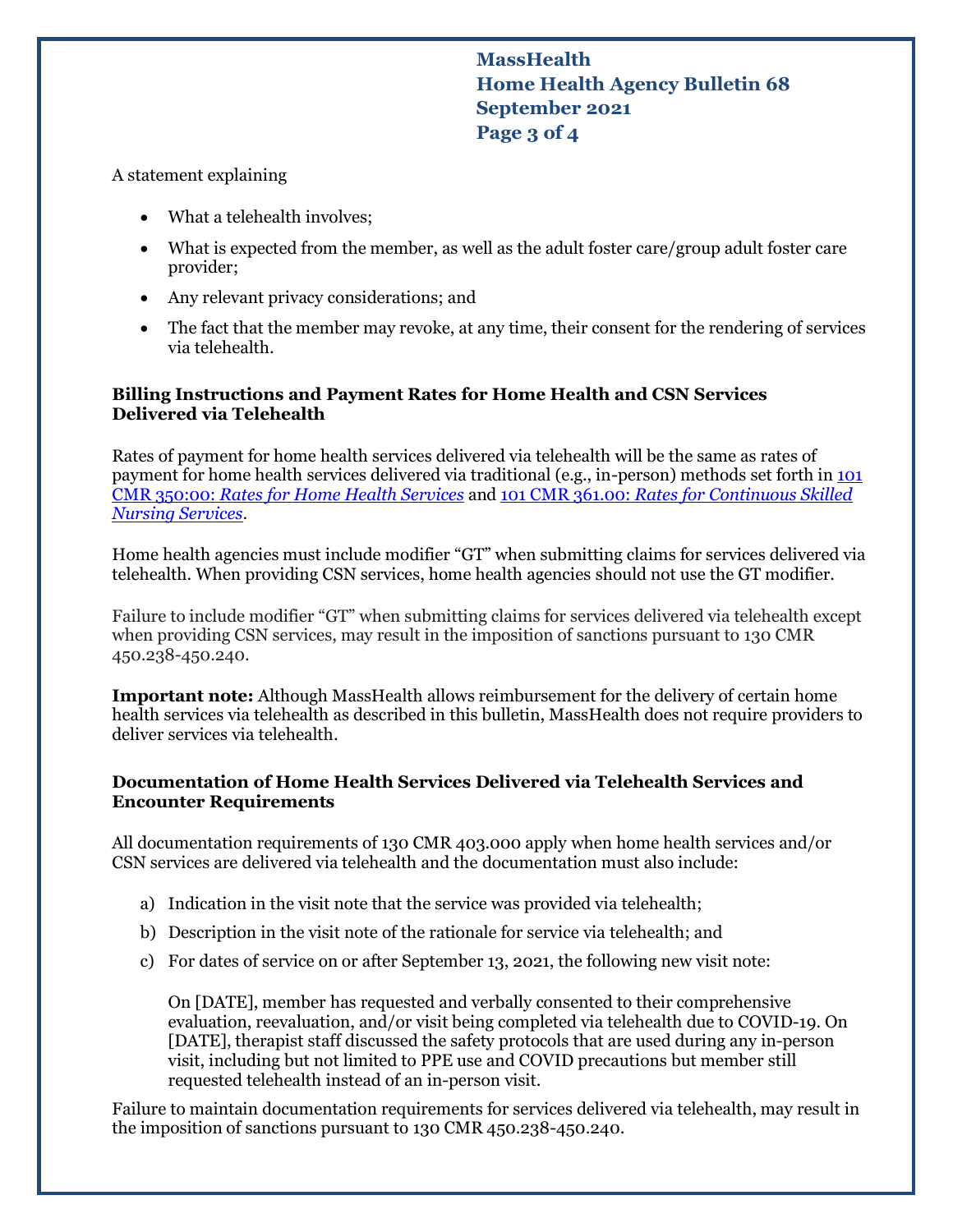**MassHealth Home Health Agency Bulletin 68 September 2021 Page 3 of 4**

#### A statement explaining

- What a telehealth involves:
- What is expected from the member, as well as the adult foster care/group adult foster care provider;
- Any relevant privacy considerations; and
- The fact that the member may revoke, at any time, their consent for the rendering of services via telehealth.

#### **Billing Instructions and Payment Rates for Home Health and CSN Services Delivered via Telehealth**

Rates of payment for home health services delivered via telehealth will be the same as rates of payment for home health services delivered via traditional (e.g., in-person) methods set forth in [101](https://www.mass.gov/regulations/101-CMR-35000-home-health-services)  CMR 350:00: *Rates for [Home Health Services](https://www.mass.gov/regulations/101-CMR-35000-home-health-services)* and 101 CMR 361.00: *[Rates for Continuous Skilled](https://www.mass.gov/regulations/101-CMR-36100-rates-for-continuous-skilled-nursing-services)  [Nursing Services](https://www.mass.gov/regulations/101-CMR-36100-rates-for-continuous-skilled-nursing-services)*.

Home health agencies must include modifier "GT" when submitting claims for services delivered via telehealth. When providing CSN services, home health agencies should not use the GT modifier.

Failure to include modifier "GT" when submitting claims for services delivered via telehealth except when providing CSN services, may result in the imposition of sanctions pursuant to 130 CMR 450.238-450.240.

**Important note:** Although MassHealth allows reimbursement for the delivery of certain home health services via telehealth as described in this bulletin, MassHealth does not require providers to deliver services via telehealth.

#### **Documentation of Home Health Services Delivered via Telehealth Services and Encounter Requirements**

All documentation requirements of 130 CMR 403.000 apply when home health services and/or CSN services are delivered via telehealth and the documentation must also include:

- a) Indication in the visit note that the service was provided via telehealth;
- b) Description in the visit note of the rationale for service via telehealth; and
- c) For dates of service on or after September 13, 2021, the following new visit note:

On [DATE], member has requested and verbally consented to their comprehensive evaluation, reevaluation, and/or visit being completed via telehealth due to COVID-19. On [DATE], therapist staff discussed the safety protocols that are used during any in-person visit, including but not limited to PPE use and COVID precautions but member still requested telehealth instead of an in-person visit.

Failure to maintain documentation requirements for services delivered via telehealth, may result in the imposition of sanctions pursuant to 130 CMR 450.238-450.240.